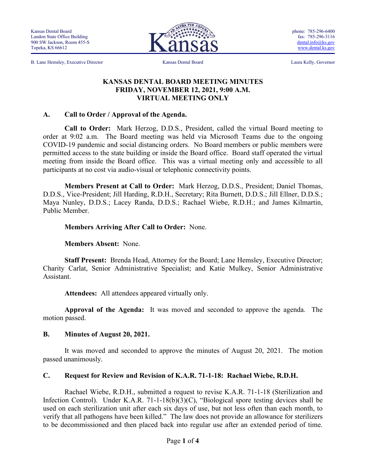B. Lane Hemsley, Executive Director Kansas Dental Board Laura Kelly, Governor



phone: 785-296-6400 fax: 785-296-3116 [dental.info@ks.gov](mailto:dental.info@ks.gov) [www.dental.ks.gov](http://www.dental.ks.gov/)

#### **KANSAS DENTAL BOARD MEETING MINUTES FRIDAY, NOVEMBER 12, 2021, 9:00 A.M. VIRTUAL MEETING ONLY**

#### **A. Call to Order / Approval of the Agenda.**

**Call to Order:** Mark Herzog, D.D.S., President, called the virtual Board meeting to order at 9:02 a.m. The Board meeting was held via Microsoft Teams due to the ongoing COVID-19 pandemic and social distancing orders. No Board members or public members were permitted access to the state building or inside the Board office. Board staff operated the virtual meeting from inside the Board office. This was a virtual meeting only and accessible to all participants at no cost via audio-visual or telephonic connectivity points.

**Members Present at Call to Order:** Mark Herzog, D.D.S., President; Daniel Thomas, D.D.S., Vice-President; Jill Harding, R.D.H., Secretary; Rita Burnett, D.D.S.; Jill Ellner, D.D.S.; Maya Nunley, D.D.S.; Lacey Randa, D.D.S.; Rachael Wiebe, R.D.H.; and James Kilmartin, Public Member.

#### **Members Arriving After Call to Order:** None.

**Members Absent:** None.

**Staff Present:** Brenda Head, Attorney for the Board; Lane Hemsley, Executive Director; Charity Carlat, Senior Administrative Specialist; and Katie Mulkey, Senior Administrative Assistant.

**Attendees:** All attendees appeared virtually only.

**Approval of the Agenda:** It was moved and seconded to approve the agenda. The motion passed.

#### **B. Minutes of August 20, 2021.**

It was moved and seconded to approve the minutes of August 20, 2021. The motion passed unanimously.

#### **C. Request for Review and Revision of K.A.R. 71-1-18: Rachael Wiebe, R.D.H.**

Rachael Wiebe, R.D.H., submitted a request to revise K.A.R. 71-1-18 (Sterilization and Infection Control). Under K.A.R. 71-1-18(b)(3)(C), "Biological spore testing devices shall be used on each sterilization unit after each six days of use, but not less often than each month, to verify that all pathogens have been killed." The law does not provide an allowance for sterilizers to be decommissioned and then placed back into regular use after an extended period of time.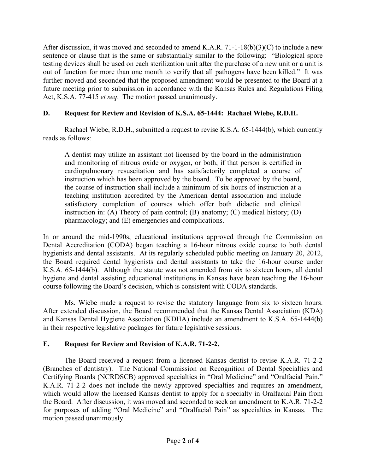After discussion, it was moved and seconded to amend K.A.R. 71-1-18(b)(3)(C) to include a new sentence or clause that is the same or substantially similar to the following: "Biological spore testing devices shall be used on each sterilization unit after the purchase of a new unit or a unit is out of function for more than one month to verify that all pathogens have been killed." It was further moved and seconded that the proposed amendment would be presented to the Board at a future meeting prior to submission in accordance with the Kansas Rules and Regulations Filing Act, K.S.A. 77-415 *et seq*. The motion passed unanimously.

## **D. Request for Review and Revision of K.S.A. 65-1444: Rachael Wiebe, R.D.H.**

Rachael Wiebe, R.D.H., submitted a request to revise K.S.A. 65-1444(b), which currently reads as follows:

A dentist may utilize an assistant not licensed by the board in the administration and monitoring of nitrous oxide or oxygen, or both, if that person is certified in cardiopulmonary resuscitation and has satisfactorily completed a course of instruction which has been approved by the board. To be approved by the board, the course of instruction shall include a minimum of six hours of instruction at a teaching institution accredited by the American dental association and include satisfactory completion of courses which offer both didactic and clinical instruction in: (A) Theory of pain control; (B) anatomy; (C) medical history; (D) pharmacology; and (E) emergencies and complications.

In or around the mid-1990s, educational institutions approved through the Commission on Dental Accreditation (CODA) began teaching a 16-hour nitrous oxide course to both dental hygienists and dental assistants. At its regularly scheduled public meeting on January 20, 2012, the Board required dental hygienists and dental assistants to take the 16-hour course under K.S.A. 65-1444(b). Although the statute was not amended from six to sixteen hours, all dental hygiene and dental assisting educational institutions in Kansas have been teaching the 16-hour course following the Board's decision, which is consistent with CODA standards.

Ms. Wiebe made a request to revise the statutory language from six to sixteen hours. After extended discussion, the Board recommended that the Kansas Dental Association (KDA) and Kansas Dental Hygiene Association (KDHA) include an amendment to K.S.A. 65-1444(b) in their respective legislative packages for future legislative sessions.

## **E. Request for Review and Revision of K.A.R. 71-2-2.**

The Board received a request from a licensed Kansas dentist to revise K.A.R. 71-2-2 (Branches of dentistry). The National Commission on Recognition of Dental Specialties and Certifying Boards (NCRDSCB) approved specialties in "Oral Medicine" and "Oralfacial Pain." K.A.R. 71-2-2 does not include the newly approved specialties and requires an amendment, which would allow the licensed Kansas dentist to apply for a specialty in Oralfacial Pain from the Board. After discussion, it was moved and seconded to seek an amendment to K.A.R. 71-2-2 for purposes of adding "Oral Medicine" and "Oralfacial Pain" as specialties in Kansas. The motion passed unanimously.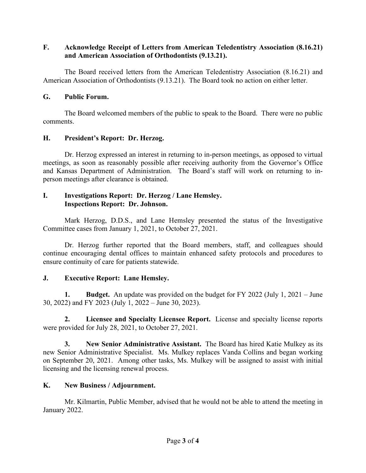## **F. Acknowledge Receipt of Letters from American Teledentistry Association (8.16.21) and American Association of Orthodontists (9.13.21).**

The Board received letters from the American Teledentistry Association (8.16.21) and American Association of Orthodontists (9.13.21). The Board took no action on either letter.

## **G. Public Forum.**

The Board welcomed members of the public to speak to the Board. There were no public comments.

## **H. President's Report: Dr. Herzog.**

Dr. Herzog expressed an interest in returning to in-person meetings, as opposed to virtual meetings, as soon as reasonably possible after receiving authority from the Governor's Office and Kansas Department of Administration. The Board's staff will work on returning to inperson meetings after clearance is obtained.

## **I. Investigations Report: Dr. Herzog / Lane Hemsley. Inspections Report: Dr. Johnson.**

Mark Herzog, D.D.S., and Lane Hemsley presented the status of the Investigative Committee cases from January 1, 2021, to October 27, 2021.

Dr. Herzog further reported that the Board members, staff, and colleagues should continue encouraging dental offices to maintain enhanced safety protocols and procedures to ensure continuity of care for patients statewide.

# **J. Executive Report: Lane Hemsley.**

**1. Budget.** An update was provided on the budget for FY 2022 (July 1, 2021 – June 30, 2022) and FY 2023 (July 1, 2022 – June 30, 2023).

 **2. Licensee and Specialty Licensee Report.** License and specialty license reports were provided for July 28, 2021, to October 27, 2021.

**3. New Senior Administrative Assistant.** The Board has hired Katie Mulkey as its new Senior Administrative Specialist. Ms. Mulkey replaces Vanda Collins and began working on September 20, 2021. Among other tasks, Ms. Mulkey will be assigned to assist with initial licensing and the licensing renewal process.

# **K. New Business / Adjournment.**

Mr. Kilmartin, Public Member, advised that he would not be able to attend the meeting in January 2022.